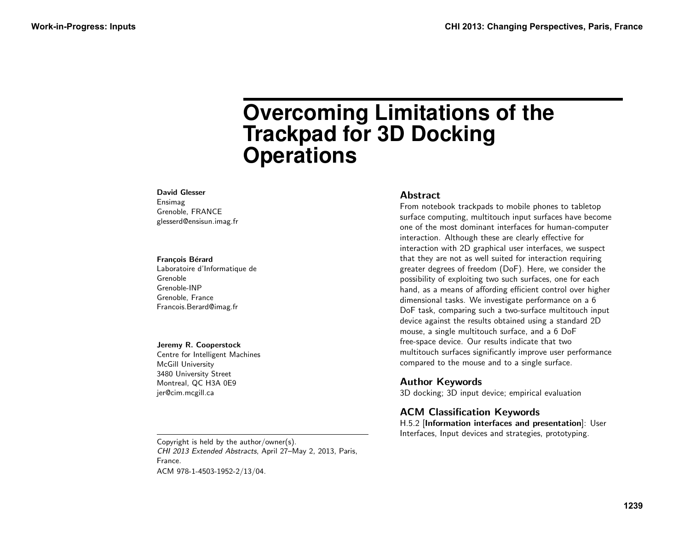# **Overcoming Limitations of the Trackpad for 3D Docking Operations**

#### David Glesser

Ensimag Grenoble, FRANCE glesserd@ensisun.imag.fr

#### Francois Bérard

Laboratoire d'Informatique de Grenoble Grenoble-INP Grenoble, France Francois.Berard@imag.fr

#### Jeremy R. Cooperstock

Centre for Intelligent Machines McGill University 3480 University Street Montreal, QC H3A 0E9 jer@cim.mcgill.ca

#### **Abstract**

From notebook trackpads to mobile phones to tabletop surface computing, multitouch input surfaces have become one of the most dominant interfaces for human-computer interaction. Although these are clearly effective for interaction with 2D graphical user interfaces, we suspect that they are not as well suited for interaction requiring greater degrees of freedom (DoF). Here, we consider the possibility of exploiting two such surfaces, one for each hand, as a means of affording efficient control over higher dimensional tasks. We investigate performance on a 6 DoF task, comparing such a two-surface multitouch input device against the results obtained using a standard 2D mouse, a single multitouch surface, and a 6 DoF free-space device. Our results indicate that two multitouch surfaces significantly improve user performance compared to the mouse and to a single surface.

#### Author Keywords

3D docking; 3D input device; empirical evaluation

## ACM Classification Keywords

H.5.2 [Information interfaces and presentation]: User Interfaces, Input devices and strategies, prototyping.

Copyright is held by the author/owner(s). CHI 2013 Extended Abstracts, April 27–May 2, 2013, Paris, France. ACM 978-1-4503-1952-2/13/04.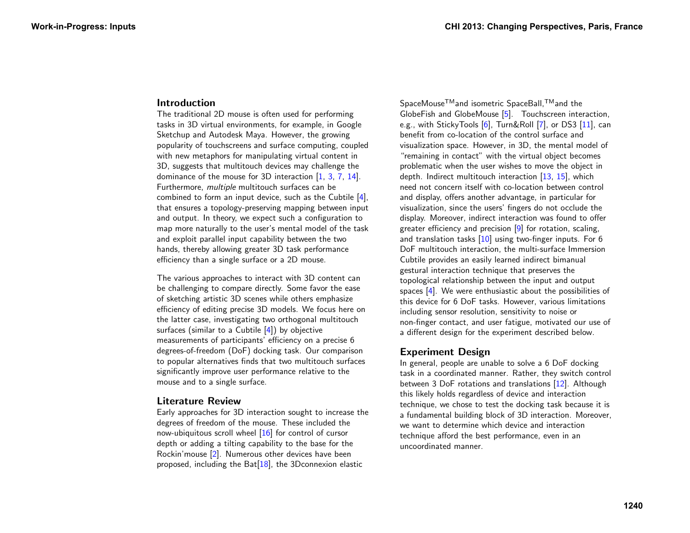#### Introduction

The traditional 2D mouse is often used for performing tasks in 3D virtual environments, for example, in Google Sketchup and Autodesk Maya. However, the growing popularity of touchscreens and surface computing, coupled with new metaphors for manipulating virtual content in 3D, suggests that multitouch devices may challenge the dominance of the mouse for 3D interaction [\[1,](#page-4-0) [3,](#page-5-0) [7,](#page-5-1) [14\]](#page-5-2). Furthermore, multiple multitouch surfaces can be combined to form an input device, such as the Cubtile [\[4\]](#page-5-3), that ensures a topology-preserving mapping between input and output. In theory, we expect such a configuration to map more naturally to the user's mental model of the task and exploit parallel input capability between the two hands, thereby allowing greater 3D task performance efficiency than a single surface or a 2D mouse.

The various approaches to interact with 3D content can be challenging to compare directly. Some favor the ease of sketching artistic 3D scenes while others emphasize efficiency of editing precise 3D models. We focus here on the latter case, investigating two orthogonal multitouch surfaces (similar to a Cubtile  $[4]$ ) by objective measurements of participants' efficiency on a precise 6 degrees-of-freedom (DoF) docking task. Our comparison to popular alternatives finds that two multitouch surfaces significantly improve user performance relative to the mouse and to a single surface.

#### Literature Review

Early approaches for 3D interaction sought to increase the degrees of freedom of the mouse. These included the now-ubiquitous scroll wheel [\[16\]](#page-5-4) for control of cursor depth or adding a tilting capability to the base for the Rockin'mouse [\[2\]](#page-4-1). Numerous other devices have been proposed, including the Bat $[18]$ , the 3D connexion elastic

SpaceMouse<sup>™</sup>and isometric SpaceBall,<sup>™</sup>and the GlobeFish and GlobeMouse [\[5\]](#page-5-6). Touchscreen interaction, e.g., with StickyTools [\[6\]](#page-5-7), Turn&Roll [\[7\]](#page-5-1), or DS3 [\[11\]](#page-5-8), can benefit from co-location of the control surface and visualization space. However, in 3D, the mental model of "remaining in contact" with the virtual object becomes problematic when the user wishes to move the object in depth. Indirect multitouch interaction [\[13,](#page-5-9) [15\]](#page-5-10), which need not concern itself with co-location between control and display, offers another advantage, in particular for visualization, since the users' fingers do not occlude the display. Moreover, indirect interaction was found to offer greater efficiency and precision [\[9\]](#page-5-11) for rotation, scaling, and translation tasks  $[10]$  using two-finger inputs. For 6 DoF multitouch interaction, the multi-surface Immersion Cubtile provides an easily learned indirect bimanual gestural interaction technique that preserves the topological relationship between the input and output spaces [\[4\]](#page-5-3). We were enthusiastic about the possibilities of this device for 6 DoF tasks. However, various limitations including sensor resolution, sensitivity to noise or non-finger contact, and user fatigue, motivated our use of a different design for the experiment described below.

# Experiment Design

In general, people are unable to solve a 6 DoF docking task in a coordinated manner. Rather, they switch control between 3 DoF rotations and translations [\[12\]](#page-5-13). Although this likely holds regardless of device and interaction technique, we chose to test the docking task because it is a fundamental building block of 3D interaction. Moreover, we want to determine which device and interaction technique afford the best performance, even in an uncoordinated manner.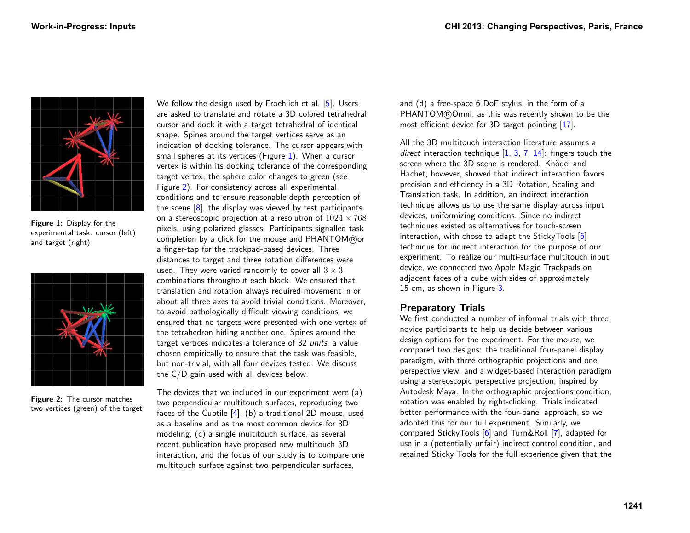

Figure 1: Display for the experimental task. cursor (left) and target (right)

<span id="page-2-0"></span>

Figure 2: The cursor matches two vertices (green) of the target

We follow the design used by Froehlich et al. [\[5\]](#page-5-6). Users are asked to translate and rotate a 3D colored tetrahedral cursor and dock it with a target tetrahedral of identical shape. Spines around the target vertices serve as an indication of docking tolerance. The cursor appears with small spheres at its vertices (Figure [1\)](#page-2-0). When a cursor vertex is within its docking tolerance of the corresponding target vertex, the sphere color changes to green (see Figure [2\)](#page-2-1). For consistency across all experimental conditions and to ensure reasonable depth perception of the scene  $[8]$ , the display was viewed by test participants on a stereoscopic projection at a resolution of  $1024 \times 768$ pixels, using polarized glasses. Participants signalled task completion by a click for the mouse and  $PHANTOM(\mathbb{R})$ or a finger-tap for the trackpad-based devices. Three distances to target and three rotation differences were used. They were varied randomly to cover all  $3 \times 3$ combinations throughout each block. We ensured that translation and rotation always required movement in or about all three axes to avoid trivial conditions. Moreover, to avoid pathologically difficult viewing conditions, we ensured that no targets were presented with one vertex of the tetrahedron hiding another one. Spines around the target vertices indicates a tolerance of 32 units, a value chosen empirically to ensure that the task was feasible, but non-trivial, with all four devices tested. We discuss the C/D gain used with all devices below.

<span id="page-2-1"></span>The devices that we included in our experiment were (a) two perpendicular multitouch surfaces, reproducing two faces of the Cubtile [\[4\]](#page-5-3), (b) a traditional 2D mouse, used as a baseline and as the most common device for 3D modeling, (c) a single multitouch surface, as several recent publication have proposed new multitouch 3D interaction, and the focus of our study is to compare one multitouch surface against two perpendicular surfaces,

and (d) a free-space 6 DoF stylus, in the form of a PHANTOM®Omni, as this was recently shown to be the most efficient device for 3D target pointing [\[17\]](#page-5-15).

All the 3D multitouch interaction literature assumes a direct interaction technique  $[1, 3, 7, 14]$  $[1, 3, 7, 14]$  $[1, 3, 7, 14]$  $[1, 3, 7, 14]$  $[1, 3, 7, 14]$  $[1, 3, 7, 14]$  $[1, 3, 7, 14]$ : fingers touch the screen where the 3D scene is rendered. Knödel and Hachet, however, showed that indirect interaction favors precision and efficiency in a 3D Rotation, Scaling and Translation task. In addition, an indirect interaction technique allows us to use the same display across input devices, uniformizing conditions. Since no indirect techniques existed as alternatives for touch-screen interaction, with chose to adapt the StickyTools [\[6\]](#page-5-7) technique for indirect interaction for the purpose of our experiment. To realize our multi-surface multitouch input device, we connected two Apple Magic Trackpads on adjacent faces of a cube with sides of approximately 15 cm, as shown in Figure [3.](#page-3-0)

## Preparatory Trials

We first conducted a number of informal trials with three novice participants to help us decide between various design options for the experiment. For the mouse, we compared two designs: the traditional four-panel display paradigm, with three orthographic projections and one perspective view, and a widget-based interaction paradigm using a stereoscopic perspective projection, inspired by Autodesk Maya. In the orthographic projections condition, rotation was enabled by right-clicking. Trials indicated better performance with the four-panel approach, so we adopted this for our full experiment. Similarly, we compared StickyTools [\[6\]](#page-5-7) and Turn&Roll [\[7\]](#page-5-1), adapted for use in a (potentially unfair) indirect control condition, and retained Sticky Tools for the full experience given that the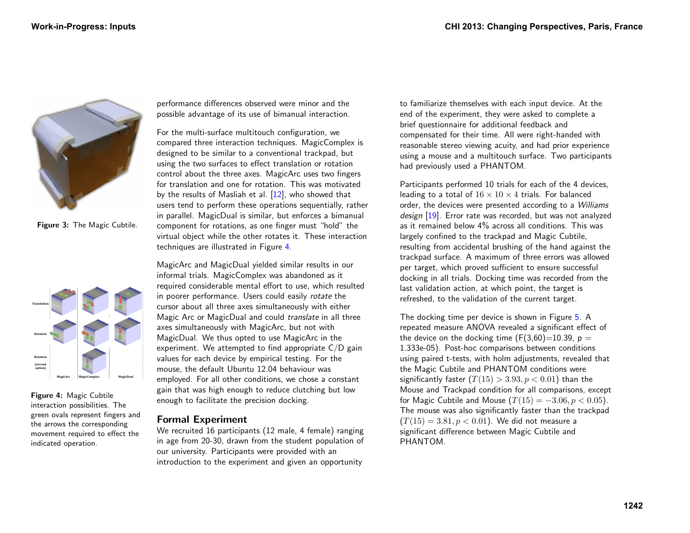

<span id="page-3-0"></span>Figure 3: The Magic Cubtile.



<span id="page-3-1"></span>Figure 4: Magic Cubtile interaction possibilities. The green ovals represent fingers and the arrows the corresponding movement required to effect the indicated operation.

performance differences observed were minor and the possible advantage of its use of bimanual interaction.

For the multi-surface multitouch configuration, we compared three interaction techniques. MagicComplex is designed to be similar to a conventional trackpad, but using the two surfaces to effect translation or rotation control about the three axes. MagicArc uses two fingers for translation and one for rotation. This was motivated by the results of Masliah et al. [\[12\]](#page-5-13), who showed that users tend to perform these operations sequentially, rather in parallel. MagicDual is similar, but enforces a bimanual component for rotations, as one finger must "hold" the virtual object while the other rotates it. These interaction techniques are illustrated in Figure [4.](#page-3-1)

MagicArc and MagicDual yielded similar results in our informal trials. MagicComplex was abandoned as it required considerable mental effort to use, which resulted in poorer performance. Users could easily rotate the cursor about all three axes simultaneously with either Magic Arc or MagicDual and could translate in all three axes simultaneously with MagicArc, but not with MagicDual. We thus opted to use MagicArc in the experiment. We attempted to find appropriate  $C/D$  gain values for each device by empirical testing. For the mouse, the default Ubuntu 12.04 behaviour was employed. For all other conditions, we chose a constant gain that was high enough to reduce clutching but low enough to facilitate the precision docking.

## Formal Experiment

We recruited 16 participants (12 male, 4 female) ranging in age from 20-30, drawn from the student population of our university. Participants were provided with an introduction to the experiment and given an opportunity

to familiarize themselves with each input device. At the end of the experiment, they were asked to complete a brief questionnaire for additional feedback and compensated for their time. All were right-handed with reasonable stereo viewing acuity, and had prior experience using a mouse and a multitouch surface. Two participants had previously used a PHANTOM.

Participants performed 10 trials for each of the 4 devices, leading to a total of  $16 \times 10 \times 4$  trials. For balanced order, the devices were presented according to a Williams design [\[19\]](#page-5-16). Error rate was recorded, but was not analyzed as it remained below 4% across all conditions. This was largely confined to the trackpad and Magic Cubtile, resulting from accidental brushing of the hand against the trackpad surface. A maximum of three errors was allowed per target, which proved sufficient to ensure successful docking in all trials. Docking time was recorded from the last validation action, at which point, the target is refreshed, to the validation of the current target.

The docking time per device is shown in Figure [5.](#page-4-2) A repeated measure ANOVA revealed a significant effect of the device on the docking time  $(F(3,60)=10.39, p =$ 1.333e-05). Post-hoc comparisons between conditions using paired t-tests, with holm adjustments, revealed that the Magic Cubtile and PHANTOM conditions were significantly faster  $(T(15) > 3.93, p < 0.01)$  than the Mouse and Trackpad condition for all comparisons, except for Magic Cubtile and Mouse  $(T(15) = -3.06, p < 0.05)$ . The mouse was also significantly faster than the trackpad  $(T(15) = 3.81, p < 0.01)$ . We did not measure a significant difference between Magic Cubtile and PHANTOM.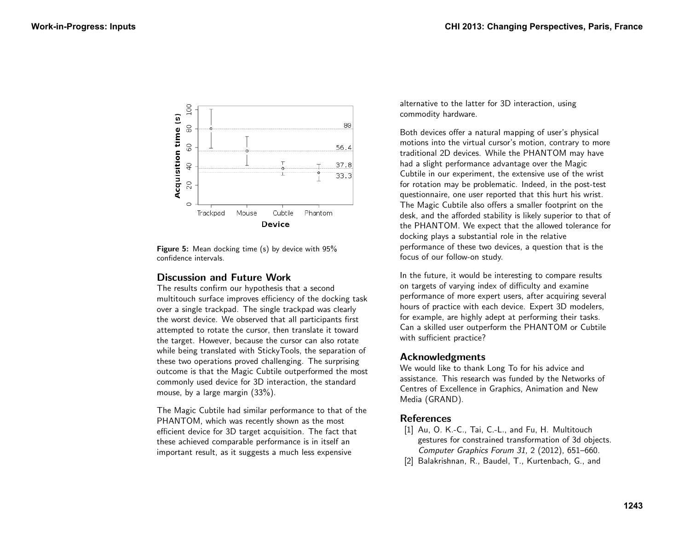

<span id="page-4-2"></span>**Figure 5:** Mean docking time (s) by device with 95% confidence intervals.

# Discussion and Future Work

The results confirm our hypothesis that a second multitouch surface improves efficiency of the docking task over a single trackpad. The single trackpad was clearly the worst device. We observed that all participants first attempted to rotate the cursor, then translate it toward the target. However, because the cursor can also rotate while being translated with StickyTools, the separation of these two operations proved challenging. The surprising outcome is that the Magic Cubtile outperformed the most commonly used device for 3D interaction, the standard mouse, by a large margin (33%).

The Magic Cubtile had similar performance to that of the PHANTOM, which was recently shown as the most efficient device for 3D target acquisition. The fact that these achieved comparable performance is in itself an important result, as it suggests a much less expensive

alternative to the latter for 3D interaction, using commodity hardware.

Both devices offer a natural mapping of user's physical motions into the virtual cursor's motion, contrary to more traditional 2D devices. While the PHANTOM may have had a slight performance advantage over the Magic Cubtile in our experiment, the extensive use of the wrist for rotation may be problematic. Indeed, in the post-test questionnaire, one user reported that this hurt his wrist. The Magic Cubtile also offers a smaller footprint on the desk, and the afforded stability is likely superior to that of the PHANTOM. We expect that the allowed tolerance for docking plays a substantial role in the relative performance of these two devices, a question that is the focus of our follow-on study.

In the future, it would be interesting to compare results on targets of varying index of difficulty and examine performance of more expert users, after acquiring several hours of practice with each device. Expert 3D modelers, for example, are highly adept at performing their tasks. Can a skilled user outperform the PHANTOM or Cubtile with sufficient practice?

## Acknowledgments

We would like to thank Long To for his advice and assistance. This research was funded by the Networks of Centres of Excellence in Graphics, Animation and New Media (GRAND).

# References

- <span id="page-4-0"></span>[1] Au, O. K.-C., Tai, C.-L., and Fu, H. Multitouch gestures for constrained transformation of 3d objects. Computer Graphics Forum 31, 2 (2012), 651–660.
- <span id="page-4-1"></span>[2] Balakrishnan, R., Baudel, T., Kurtenbach, G., and